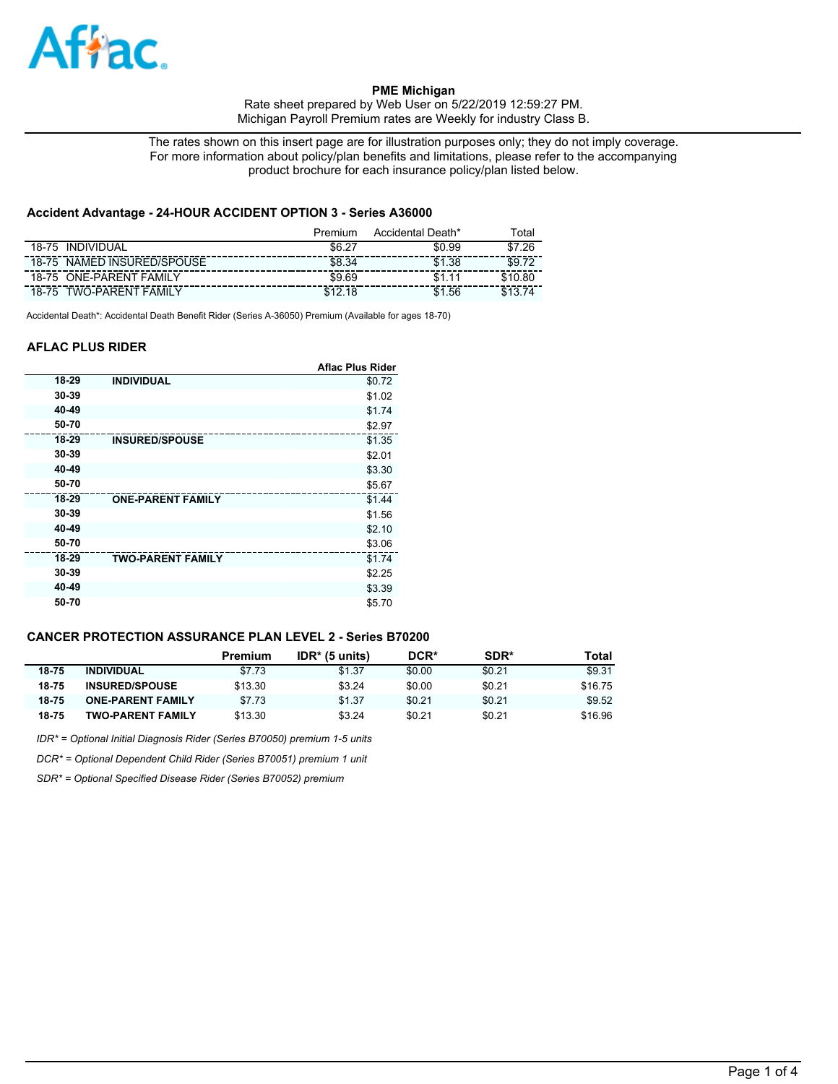

**PME Michigan**  Rate sheet prepared by Web User on 5/22/2019 12:59:27 PM. Michigan Payroll Premium rates are Weekly for industry Class B.

The rates shown on this insert page are for illustration purposes only; they do not imply coverage. For more information about policy/plan benefits and limitations, please refer to the accompanying product brochure for each insurance policy/plan listed below.

# **Accident Advantage - 24-HOUR ACCIDENT OPTION 3 - Series A36000**

|                                   | Premium | Accidental Death* | ™otai   |
|-----------------------------------|---------|-------------------|---------|
| <b>INDIVIDUAL</b><br>18-75        | \$6.27  | \$0.99            | .26     |
| NAMED INSURED/SPOUSE<br>18-75     | \$8.34  | \$1.38            | \$9.72  |
| <b>ONE-PARENT FAMILY</b><br>18-75 | \$9.69  |                   | \$10.80 |
| <b>TWO-PARENT FAMILY</b><br>18-75 | 0.12    | .56               |         |

Accidental Death\*: Accidental Death Benefit Rider (Series A-36050) Premium (Available for ages 18-70)

## **AFLAC PLUS RIDER**

|       |                          | <b>Aflac Plus Rider</b> |
|-------|--------------------------|-------------------------|
| 18-29 | <b>INDIVIDUAL</b>        | \$0.72                  |
| 30-39 |                          | \$1.02                  |
| 40-49 |                          | \$1.74                  |
| 50-70 |                          | \$2.97                  |
| 18-29 | <b>INSURED/SPOUSE</b>    | \$1.35                  |
| 30-39 |                          | \$2.01                  |
| 40-49 |                          | \$3.30                  |
| 50-70 |                          | \$5.67                  |
| 18-29 | <b>ONE-PARENT FAMILY</b> | \$1.44                  |
| 30-39 |                          | \$1.56                  |
| 40-49 |                          | \$2.10                  |
| 50-70 |                          | \$3.06                  |
| 18-29 | <b>TWO-PARENT FAMILY</b> | \$1.74                  |
| 30-39 |                          | \$2.25                  |
| 40-49 |                          | \$3.39                  |
| 50-70 |                          | \$5.70                  |

# **CANCER PROTECTION ASSURANCE PLAN LEVEL 2 - Series B70200**

|       |                          | Premium | $IDR*$ (5 units) | DCR*   | SDR*   | Total   |
|-------|--------------------------|---------|------------------|--------|--------|---------|
| 18-75 | <b>INDIVIDUAL</b>        | \$7.73  | \$1.37           | \$0.00 | \$0.21 | \$9.31  |
| 18-75 | <b>INSURED/SPOUSE</b>    | \$13.30 | \$3.24           | \$0.00 | \$0.21 | \$16.75 |
| 18-75 | <b>ONE-PARENT FAMILY</b> | \$7.73  | \$1.37           | \$0.21 | \$0.21 | \$9.52  |
| 18-75 | TWO-PARENT FAMILY        | \$13.30 | \$3.24           | \$0.21 | \$0.21 | \$16.96 |

*IDR\* = Optional Initial Diagnosis Rider (Series B70050) premium 1-5 units*

*DCR\* = Optional Dependent Child Rider (Series B70051) premium 1 unit*

*SDR\* = Optional Specified Disease Rider (Series B70052) premium*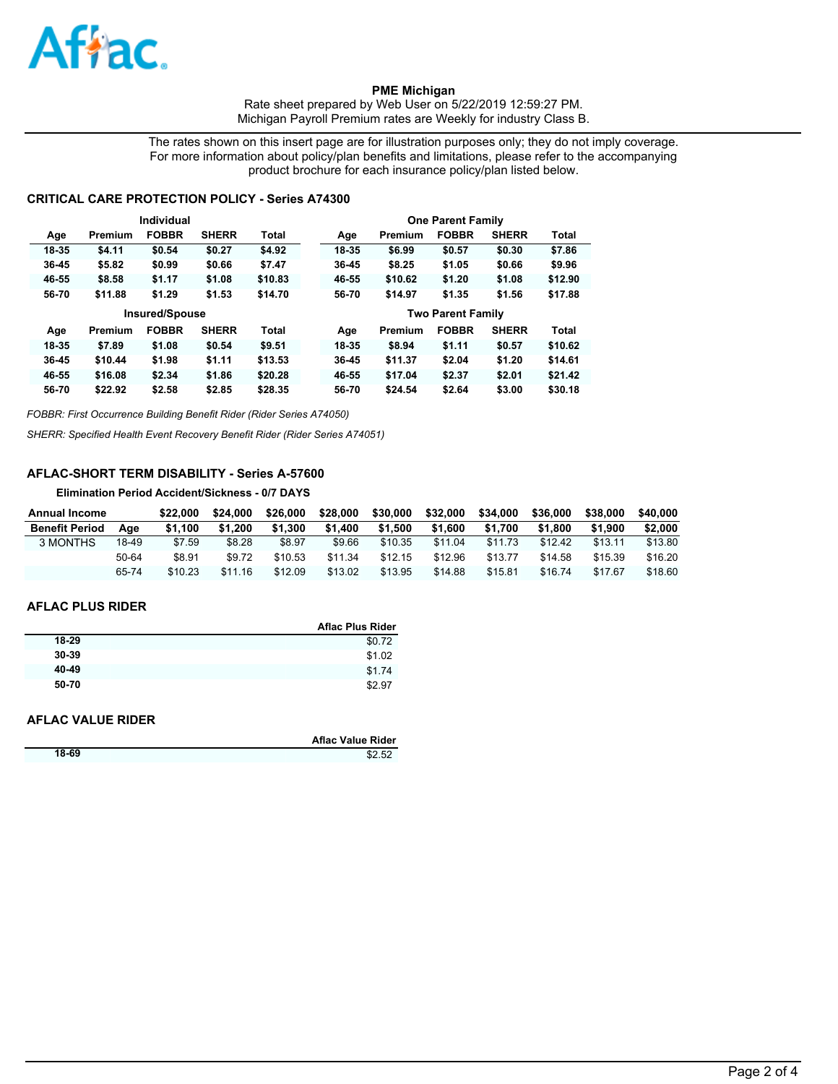

**PME Michigan**  Rate sheet prepared by Web User on 5/22/2019 12:59:27 PM. Michigan Payroll Premium rates are Weekly for industry Class B.

The rates shown on this insert page are for illustration purposes only; they do not imply coverage. For more information about policy/plan benefits and limitations, please refer to the accompanying product brochure for each insurance policy/plan listed below.

## **CRITICAL CARE PROTECTION POLICY - Series A74300**

|           |         | Individual            |              |              |       |         | <b>One Parent Family</b> |              |              |
|-----------|---------|-----------------------|--------------|--------------|-------|---------|--------------------------|--------------|--------------|
| Age       | Premium | <b>FOBBR</b>          | <b>SHERR</b> | Total        | Age   | Premium | <b>FOBBR</b>             | <b>SHERR</b> | Total        |
| 18-35     | \$4.11  | \$0.54                | \$0.27       | \$4.92       | 18-35 | \$6.99  | \$0.57                   | \$0.30       | \$7.86       |
| 36-45     | \$5.82  | \$0.99                | \$0.66       | \$7.47       | 36-45 | \$8.25  | \$1.05                   | \$0.66       | \$9.96       |
| 46-55     | \$8.58  | \$1.17                | \$1.08       | \$10.83      | 46-55 | \$10.62 | \$1.20                   | \$1.08       | \$12.90      |
| 56-70     | \$11.88 | \$1.29                | \$1.53       | \$14.70      | 56-70 | \$14.97 | \$1.35                   | \$1.56       | \$17.88      |
|           |         |                       |              |              |       |         |                          |              |              |
|           |         | <b>Insured/Spouse</b> |              |              |       |         | <b>Two Parent Family</b> |              |              |
| Age       | Premium | <b>FOBBR</b>          | <b>SHERR</b> | <b>Total</b> | Age   | Premium | <b>FOBBR</b>             | <b>SHERR</b> | <b>Total</b> |
| 18-35     | \$7.89  | \$1.08                | \$0.54       | \$9.51       | 18-35 | \$8.94  | \$1.11                   | \$0.57       | \$10.62      |
| $36 - 45$ | \$10.44 | \$1.98                | \$1.11       | \$13.53      | 36-45 | \$11.37 | \$2.04                   | \$1,20       | \$14.61      |
| 46-55     | \$16.08 | \$2.34                | \$1.86       | \$20.28      | 46-55 | \$17.04 | \$2.37                   | \$2.01       | \$21.42      |

*FOBBR: First Occurrence Building Benefit Rider (Rider Series A74050)*

*SHERR: Specified Health Event Recovery Benefit Rider (Rider Series A74051)*

# **AFLAC-SHORT TERM DISABILITY - Series A-57600**

**Elimination Period Accident/Sickness - 0/7 DAYS**

| Annual Income         |       | \$22.000 | \$24.000 | \$26,000 | \$28,000 | \$30,000 | \$32,000 | \$34,000 | \$36,000 | \$38,000 | \$40,000 |
|-----------------------|-------|----------|----------|----------|----------|----------|----------|----------|----------|----------|----------|
| <b>Benefit Period</b> | Aae   | \$1.100  | \$1.200  | \$1.300  | \$1.400  | \$1.500  | \$1.600  | \$1.700  | \$1.800  | \$1.900  | \$2,000  |
| 3 MONTHS              | 18-49 | \$7.59   | \$8.28   | \$8.97   | \$9.66   | \$10.35  | \$11.04  | \$11.73  | \$12.42  | \$13.11  | \$13.80  |
|                       | 50-64 | \$8.91   | \$9.72   | \$10.53  | \$11.34  | \$12.15  | \$12.96  | \$13.77  | \$14.58  | \$15.39  | \$16.20  |
|                       | 65-74 | \$10.23  | \$11.16  | \$12.09  | \$13.02  | \$13.95  | \$14.88  | \$15.81  | \$16.74  | \$17.67  | \$18.60  |

#### **AFLAC PLUS RIDER**

|       | <b>Aflac Plus Rider</b> |
|-------|-------------------------|
| 18-29 | \$0.72                  |
| 30-39 | \$1.02                  |
| 40-49 | \$1.74                  |
| 50-70 | \$2.97                  |

## **AFLAC VALUE RIDER**

|       | <b>Aflac Value Rider</b> |
|-------|--------------------------|
| 18-69 | \$2.52                   |
|       |                          |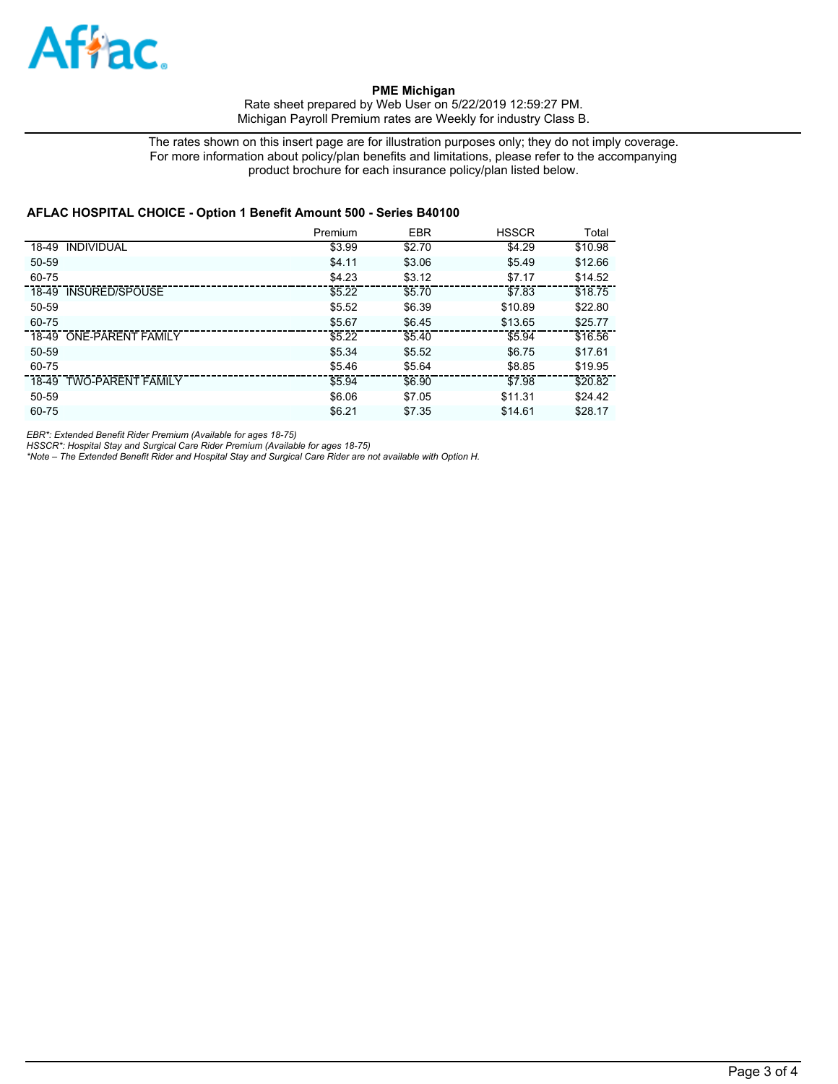

**PME Michigan**  Rate sheet prepared by Web User on 5/22/2019 12:59:27 PM. Michigan Payroll Premium rates are Weekly for industry Class B.

The rates shown on this insert page are for illustration purposes only; they do not imply coverage. For more information about policy/plan benefits and limitations, please refer to the accompanying product brochure for each insurance policy/plan listed below.

#### **AFLAC HOSPITAL CHOICE - Option 1 Benefit Amount 500 - Series B40100**

|                         | Premium | <b>EBR</b> | <b>HSSCR</b> | Total   |
|-------------------------|---------|------------|--------------|---------|
| 18-49 INDIVIDUAL        | \$3.99  | \$2.70     | \$4.29       | \$10.98 |
| 50-59                   | \$4.11  | \$3.06     | \$5.49       | \$12.66 |
| 60-75                   | \$4.23  | \$3.12     | \$7.17       | \$14.52 |
| 18-49 INSURED/SPOUSE    | \$5.22  | \$5.70     | \$7.83       | \$18.75 |
| 50-59                   | \$5.52  | \$6.39     | \$10.89      | \$22.80 |
| 60-75                   | \$5.67  | \$6.45     | \$13.65      | \$25.77 |
| 18-49 ONE-PARENT FAMILY | \$5.22  | \$5.40     | \$5.94       | \$16.56 |
| $50 - 59$               | \$5.34  | \$5.52     | \$6.75       | \$17.61 |
| 60-75                   | \$5.46  | \$5.64     | \$8.85       | \$19.95 |
| 18-49 TWO-PARENT FAMILY | \$5.94  | \$6.90     | \$7.98       | \$20.82 |
| 50-59                   | \$6.06  | \$7.05     | \$11.31      | \$24.42 |
| 60-75                   | \$6.21  | \$7.35     | \$14.61      | \$28.17 |

*EBR\*: Extended Benefit Rider Premium (Available for ages 18-75)*

*HSSCR\*: Hospital Stay and Surgical Care Rider Premium (Available for ages 18-75) \*Note – The Extended Benefit Rider and Hospital Stay and Surgical Care Rider are not available with Option H.*